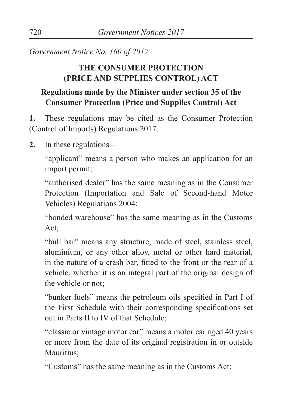*Government Notice No. 160 of 2017*

## **THE CONSUMER PROTECTION (PRICE AND SUPPLIES CONTROL) ACT**

## **Regulations made by the Minister under section 35 of the Consumer Protection (Price and Supplies Control) Act**

**1.** These regulations may be cited as the Consumer Protection (Control of Imports) Regulations 2017.

**2.** In these regulations –

"applicant" means a person who makes an application for an import permit;

"authorised dealer" has the same meaning as in the Consumer Protection (Importation and Sale of Second-hand Motor Vehicles) Regulations 2004;

"bonded warehouse" has the same meaning as in the Customs Act:

"bull bar" means any structure, made of steel, stainless steel, aluminium, or any other alloy, metal or other hard material, in the nature of a crash bar, fitted to the front or the rear of a vehicle, whether it is an integral part of the original design of the vehicle or not;

"bunker fuels" means the petroleum oils specified in Part I of the First Schedule with their corresponding specifications set out in Parts II to IV of that Schedule;

"classic or vintage motor car" means a motor car aged 40 years or more from the date of its original registration in or outside Mauritius<sup>:</sup>

"Customs" has the same meaning as in the Customs Act;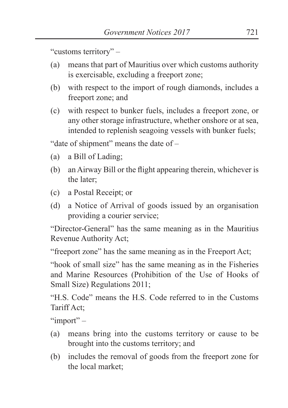"customs territory" –

- (a) means that part of Mauritius over which customs authority is exercisable, excluding a freeport zone;
- (b) with respect to the import of rough diamonds, includes a freeport zone; and
- (c) with respect to bunker fuels, includes a freeport zone, or any other storage infrastructure, whether onshore or at sea, intended to replenish seagoing vessels with bunker fuels;

"date of shipment" means the date of –

- (a) a Bill of Lading;
- (b) an Airway Bill or the flight appearing therein, whichever is the later;
- (c) a Postal Receipt; or
- (d) a Notice of Arrival of goods issued by an organisation providing a courier service;

"Director-General" has the same meaning as in the Mauritius Revenue Authority Act;

"freeport zone" has the same meaning as in the Freeport Act;

"hook of small size" has the same meaning as in the Fisheries and Marine Resources (Prohibition of the Use of Hooks of Small Size) Regulations 2011;

"H.S. Code" means the H.S. Code referred to in the Customs Tariff Act;

"import" –

- (a) means bring into the customs territory or cause to be brought into the customs territory; and
- (b) includes the removal of goods from the freeport zone for the local market;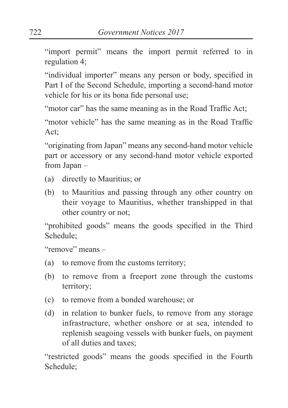"import permit" means the import permit referred to in regulation 4;

"individual importer" means any person or body, specified in Part I of the Second Schedule, importing a second-hand motor vehicle for his or its bona fide personal use;

"motor car" has the same meaning as in the Road Traffic Act;

"motor vehicle" has the same meaning as in the Road Traffic Act;

"originating from Japan" means any second-hand motor vehicle part or accessory or any second-hand motor vehicle exported from Japan –

- (a) directly to Mauritius; or
- (b) to Mauritius and passing through any other country on their voyage to Mauritius, whether transhipped in that other country or not;

"prohibited goods" means the goods specified in the Third Schedule;

"remove" means –

- (a) to remove from the customs territory;
- (b) to remove from a freeport zone through the customs territory;
- (c) to remove from a bonded warehouse; or
- (d) in relation to bunker fuels, to remove from any storage infrastructure, whether onshore or at sea, intended to replenish seagoing vessels with bunker fuels, on payment of all duties and taxes;

"restricted goods" means the goods specified in the Fourth Schedule;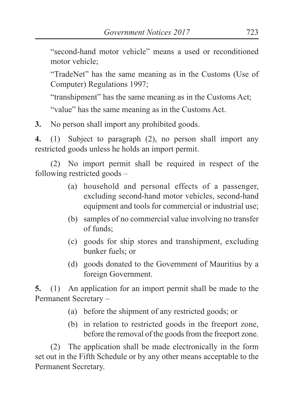"second-hand motor vehicle" means a used or reconditioned motor vehicle;

"TradeNet" has the same meaning as in the Customs (Use of Computer) Regulations 1997;

"transhipment" has the same meaning as in the Customs Act;

"value" has the same meaning as in the Customs Act.

**3.** No person shall import any prohibited goods.

**4.** (1) Subject to paragraph (2), no person shall import any restricted goods unless he holds an import permit.

(2) No import permit shall be required in respect of the following restricted goods –

- (a) household and personal effects of a passenger, excluding second-hand motor vehicles, second-hand equipment and tools for commercial or industrial use;
- (b) samples of no commercial value involving no transfer of funds;
- (c) goods for ship stores and transhipment, excluding bunker fuels; or
- (d) goods donated to the Government of Mauritius by a foreign Government.

**5.** (1) An application for an import permit shall be made to the Permanent Secretary –

- (a) before the shipment of any restricted goods; or
- (b) in relation to restricted goods in the freeport zone, before the removal of the goods from the freeport zone.

(2) The application shall be made electronically in the form set out in the Fifth Schedule or by any other means acceptable to the Permanent Secretary.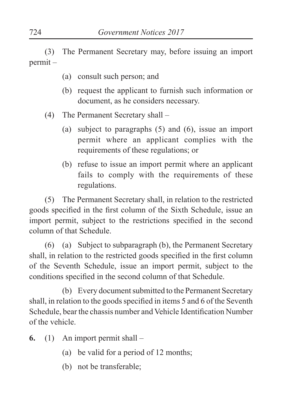(3) The Permanent Secretary may, before issuing an import permit –

- (a) consult such person; and
- (b) request the applicant to furnish such information or document, as he considers necessary.
- (4) The Permanent Secretary shall
	- (a) subject to paragraphs (5) and (6), issue an import permit where an applicant complies with the requirements of these regulations; or
	- (b) refuse to issue an import permit where an applicant fails to comply with the requirements of these regulations.

(5) The Permanent Secretary shall, in relation to the restricted goods specified in the first column of the Sixth Schedule, issue an import permit, subject to the restrictions specified in the second column of that Schedule.

(6) (a) Subject to subparagraph (b), the Permanent Secretary shall, in relation to the restricted goods specified in the first column of the Seventh Schedule, issue an import permit, subject to the conditions specified in the second column of that Schedule.

 (b) Every document submitted to the Permanent Secretary shall, in relation to the goods specified in items 5 and 6 of the Seventh Schedule, bear the chassis number and Vehicle Identification Number of the vehicle.

- **6.** (1) An import permit shall
	- (a) be valid for a period of 12 months;
	- (b) not be transferable;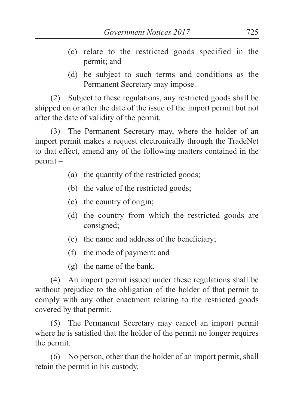- (c) relate to the restricted goods specified in the permit; and
- (d) be subject to such terms and conditions as the Permanent Secretary may impose.

(2) Subject to these regulations, any restricted goods shall be shipped on or after the date of the issue of the import permit but not after the date of validity of the permit.

(3) The Permanent Secretary may, where the holder of an import permit makes a request electronically through the TradeNet to that effect, amend any of the following matters contained in the permit –

- (a) the quantity of the restricted goods;
- (b) the value of the restricted goods;
- (c) the country of origin;
- (d) the country from which the restricted goods are consigned;
- (e) the name and address of the beneficiary;
- (f) the mode of payment; and
- (g) the name of the bank.

(4) An import permit issued under these regulations shall be without prejudice to the obligation of the holder of that permit to comply with any other enactment relating to the restricted goods covered by that permit.

(5) The Permanent Secretary may cancel an import permit where he is satisfied that the holder of the permit no longer requires the permit.

(6) No person, other than the holder of an import permit, shall retain the permit in his custody.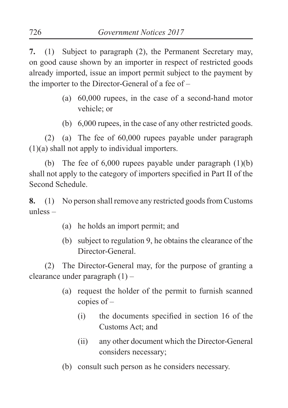**7.** (1) Subject to paragraph (2), the Permanent Secretary may, on good cause shown by an importer in respect of restricted goods already imported, issue an import permit subject to the payment by the importer to the Director-General of a fee of –

- (a) 60,000 rupees, in the case of a second-hand motor vehicle; or
- (b) 6,000 rupees, in the case of any other restricted goods.

(2) (a) The fee of 60,000 rupees payable under paragraph (1)(a) shall not apply to individual importers.

(b) The fee of  $6,000$  rupees payable under paragraph  $(1)(b)$ shall not apply to the category of importers specified in Part II of the Second Schedule.

**8.** (1) No person shall remove any restricted goods from Customs unless –

- (a) he holds an import permit; and
- (b) subject to regulation 9, he obtains the clearance of the Director-General.

(2) The Director-General may, for the purpose of granting a clearance under paragraph (1) –

- (a) request the holder of the permit to furnish scanned copies of –
	- (i) the documents specified in section 16 of the Customs Act; and
	- (ii) any other document which the Director-General considers necessary;
- (b) consult such person as he considers necessary.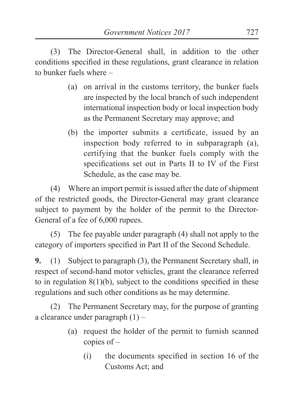(3) The Director-General shall, in addition to the other conditions specified in these regulations, grant clearance in relation to bunker fuels where –

- (a) on arrival in the customs territory, the bunker fuels are inspected by the local branch of such independent international inspection body or local inspection body as the Permanent Secretary may approve; and
- (b) the importer submits a certificate, issued by an inspection body referred to in subparagraph (a), certifying that the bunker fuels comply with the specifications set out in Parts II to IV of the First Schedule, as the case may be.

(4) Where an import permit is issued after the date of shipment of the restricted goods, the Director-General may grant clearance subject to payment by the holder of the permit to the Director-General of a fee of 6,000 rupees.

(5) The fee payable under paragraph (4) shall not apply to the category of importers specified in Part II of the Second Schedule.

**9.** (1) Subject to paragraph (3), the Permanent Secretary shall, in respect of second-hand motor vehicles, grant the clearance referred to in regulation  $8(1)(b)$ , subject to the conditions specified in these regulations and such other conditions as he may determine.

(2) The Permanent Secretary may, for the purpose of granting a clearance under paragraph (1) –

- (a) request the holder of the permit to furnish scanned copies of –
	- (i) the documents specified in section 16 of the Customs Act; and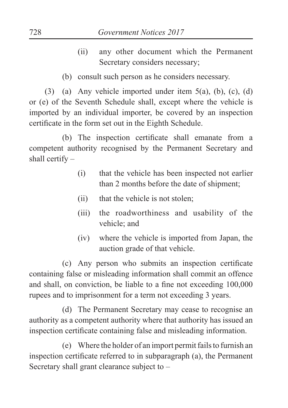- (ii) any other document which the Permanent Secretary considers necessary;
- (b) consult such person as he considers necessary.

(3) (a) Any vehicle imported under item  $5(a)$ , (b), (c), (d) or (e) of the Seventh Schedule shall, except where the vehicle is imported by an individual importer, be covered by an inspection certificate in the form set out in the Eighth Schedule.

(b) The inspection certificate shall emanate from a competent authority recognised by the Permanent Secretary and shall certify –

- (i) that the vehicle has been inspected not earlier than 2 months before the date of shipment;
- (ii) that the vehicle is not stolen;
- (iii) the roadworthiness and usability of the vehicle; and
- (iv) where the vehicle is imported from Japan, the auction grade of that vehicle.

(c) Any person who submits an inspection certificate containing false or misleading information shall commit an offence and shall, on conviction, be liable to a fine not exceeding 100,000 rupees and to imprisonment for a term not exceeding 3 years.

 (d) The Permanent Secretary may cease to recognise an authority as a competent authority where that authority has issued an inspection certificate containing false and misleading information.

 (e) Where the holder of an import permit fails to furnish an inspection certificate referred to in subparagraph (a), the Permanent Secretary shall grant clearance subject to –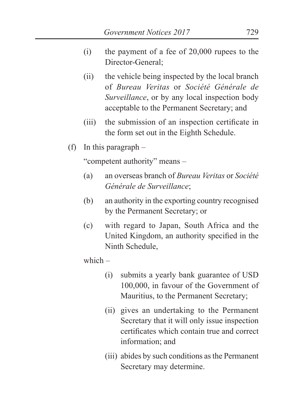- (i) the payment of a fee of 20,000 rupees to the Director-General;
- (ii) the vehicle being inspected by the local branch of *Bureau Veritas* or *Société Générale de Surveillance*, or by any local inspection body acceptable to the Permanent Secretary; and
- (iii) the submission of an inspection certificate in the form set out in the Eighth Schedule.
- (f) In this paragraph –

"competent authority" means –

- (a) an overseas branch of *Bureau Veritas* or *Société Générale de Surveillance*;
- (b) an authority in the exporting country recognised by the Permanent Secretary; or
- (c) with regard to Japan, South Africa and the United Kingdom, an authority specified in the Ninth Schedule,

which –

- (i) submits a yearly bank guarantee of USD 100,000, in favour of the Government of Mauritius, to the Permanent Secretary;
- (ii) gives an undertaking to the Permanent Secretary that it will only issue inspection certificates which contain true and correct information; and
- (iii) abides by such conditions as the Permanent Secretary may determine.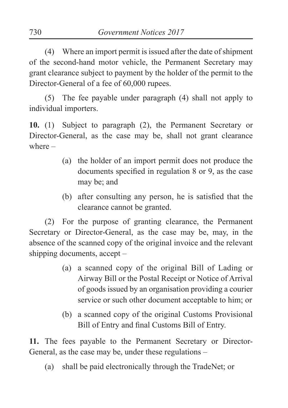(4) Where an import permit is issued after the date of shipment of the second-hand motor vehicle, the Permanent Secretary may grant clearance subject to payment by the holder of the permit to the Director-General of a fee of 60,000 rupees.

(5) The fee payable under paragraph (4) shall not apply to individual importers.

**10.** (1) Subject to paragraph (2), the Permanent Secretary or Director-General, as the case may be, shall not grant clearance where –

- (a) the holder of an import permit does not produce the documents specified in regulation 8 or 9, as the case may be; and
- (b) after consulting any person, he is satisfied that the clearance cannot be granted.

(2) For the purpose of granting clearance, the Permanent Secretary or Director-General, as the case may be, may, in the absence of the scanned copy of the original invoice and the relevant shipping documents, accept –

- (a) a scanned copy of the original Bill of Lading or Airway Bill or the Postal Receipt or Notice of Arrival of goods issued by an organisation providing a courier service or such other document acceptable to him; or
- (b) a scanned copy of the original Customs Provisional Bill of Entry and final Customs Bill of Entry.

**11.** The fees payable to the Permanent Secretary or Director-General, as the case may be, under these regulations –

(a) shall be paid electronically through the TradeNet; or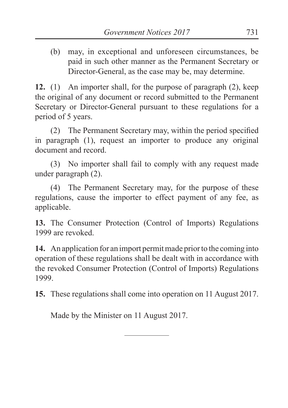(b) may, in exceptional and unforeseen circumstances, be paid in such other manner as the Permanent Secretary or Director-General, as the case may be, may determine.

**12.** (1) An importer shall, for the purpose of paragraph (2), keep the original of any document or record submitted to the Permanent Secretary or Director-General pursuant to these regulations for a period of 5 years.

(2) The Permanent Secretary may, within the period specified in paragraph (1), request an importer to produce any original document and record.

(3) No importer shall fail to comply with any request made under paragraph (2).

(4) The Permanent Secretary may, for the purpose of these regulations, cause the importer to effect payment of any fee, as applicable.

**13.** The Consumer Protection (Control of Imports) Regulations 1999 are revoked.

**14.** An application for an import permit made prior to the coming into operation of these regulations shall be dealt with in accordance with the revoked Consumer Protection (Control of Imports) Regulations 1999.

**15.** These regulations shall come into operation on 11 August 2017.

Made by the Minister on 11 August 2017.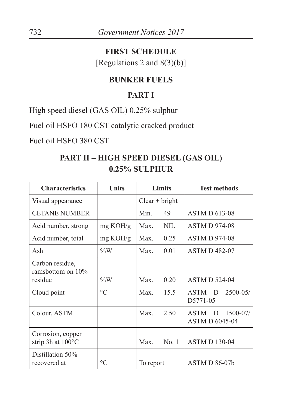#### **FIRST SCHEDULE**

[Regulations 2 and 8(3)(b)]

#### **BUNKER FUELS**

## **PART I**

High speed diesel (GAS OIL) 0.25% sulphur

Fuel oil HSFO 180 CST catalytic cracked product

Fuel oil HSFO 380 CST

## **PART II – HIGH SPEED DIESEL (GAS OIL) 0.25% SULPHUR**

| <b>Characteristics</b>                           | Units              | Limits           | <b>Test methods</b>                                       |
|--------------------------------------------------|--------------------|------------------|-----------------------------------------------------------|
| Visual appearance                                |                    | $Clear + bright$ |                                                           |
| <b>CETANE NUMBER</b>                             |                    | Min.<br>49       | <b>ASTM D 613-08</b>                                      |
| Acid number, strong                              | $mg \text{ KOH/g}$ | Max.<br>NIL.     | <b>ASTM D 974-08</b>                                      |
| Acid number, total                               | mg KOH/g           | Max<br>0.25      | <b>ASTM D 974-08</b>                                      |
| Ash                                              | $\%W$              | Max.<br>0.01     | <b>ASTM D 482-07</b>                                      |
| Carbon residue,<br>ramsbottom on $10\%$          |                    | Max              |                                                           |
| residue                                          | $\%W$              | 0.20             | <b>ASTM D 524-04</b>                                      |
| Cloud point                                      | $\circ$ C          | Max.<br>15.5     | $2500 - 05/$<br><b>ASTM</b><br>D<br>D5771-05              |
| Colour, ASTM                                     |                    | Max.<br>2.50     | $1500 - 07/$<br><b>ASTM</b><br>D<br><b>ASTM D 6045-04</b> |
| Corrosion, copper<br>strip 3h at $100^{\circ}$ C |                    | Max<br>No.1      | <b>ASTM D 130-04</b>                                      |
| Distillation 50%<br>recovered at                 | $\rm ^{\circ}C$    | To report        | $ASTM D 86-07b$                                           |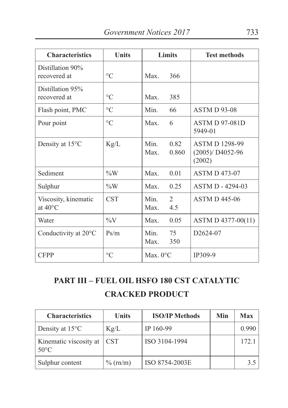| <b>Characteristics</b>                    | <b>Units</b>    |                    | <b>Limits</b>         | <b>Test methods</b>                                  |
|-------------------------------------------|-----------------|--------------------|-----------------------|------------------------------------------------------|
| Distillation 90%<br>recovered at          | $\rm ^{\circ}C$ | Max.               | 366                   |                                                      |
| Distillation 95%<br>recovered at          | $\rm ^{\circ}C$ | Max                | 385                   |                                                      |
| Flash point, PMC                          | $\rm ^{\circ}C$ | Min                | 66                    | <b>ASTM D 93-08</b>                                  |
| Pour point                                | $\rm ^{\circ}C$ | Max                | 6                     | <b>ASTM D 97-081D</b><br>5949-01                     |
| Density at $15^{\circ}$ C                 | Kg/L            | Min<br>Max         | 0.82<br>0.860         | <b>ASTM D 1298-99</b><br>$(2005)/D4052-96$<br>(2002) |
| Sediment                                  | $\%W$           | Max.               | 0.01                  | <b>ASTM D 473-07</b>                                 |
| Sulphur                                   | $\%W$           | Max.               | 0.25                  | ASTM D - 4294-03                                     |
| Viscosity, kinematic<br>at $40^{\circ}$ C | <b>CST</b>      | Min<br>Max         | $\mathfrak{D}$<br>4.5 | <b>ASTM D 445-06</b>                                 |
| Water                                     | $\%V$           | Max.               | 0.05                  | ASTM D 4377-00(11)                                   |
| Conductivity at 20°C                      | Ps/m            | Min<br>$Max$ .     | 75<br>350             | D <sub>2624</sub> -07                                |
| <b>CFPP</b>                               | $\rm ^{\circ}C$ | Max. $0^{\circ}$ C |                       | IP309-9                                              |

# **PART III – FUEL OIL HSFO 180 CST CATALYTIC CRACKED PRODUCT**

| <b>Characteristics</b>                   | <b>Units</b> | <b>ISO/IP Methods</b> | Min | <b>Max</b> |
|------------------------------------------|--------------|-----------------------|-----|------------|
| Density at $15^{\circ}$ C                | Kg/L         | IP 160-99             |     | 0.990      |
| Kinematic viscosity at<br>$50^{\circ}$ C | <b>CST</b>   | ISO 3104-1994         |     | 172.1      |
| Sulphur content                          | $\%$ (rn/m)  | ISO 8754-2003E        |     | 3.5        |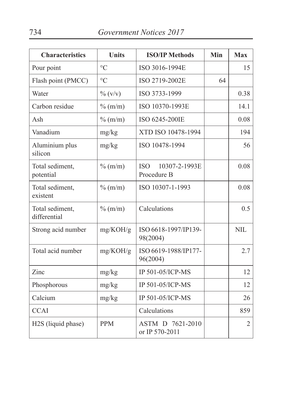| <b>Characteristics</b>          | <b>Units</b>        | <b>ISO/IP Methods</b>                      | Min | <b>Max</b>     |
|---------------------------------|---------------------|--------------------------------------------|-----|----------------|
| Pour point                      | $\circ$ C           | ISO 3016-1994E                             |     | 15             |
| Flash point (PMCC)              | $\rm ^{\circ}C$     | ISO 2719-2002E                             | 64  |                |
| Water                           | $\frac{0}{0}$ (v/v) | ISO 3733-1999                              |     | 0.38           |
| Carbon residue                  | $\%$ (m/m)          | ISO 10370-1993E                            |     | 14.1           |
| Ash                             | $\%$ (m/m)          | ISO 6245-200IE                             |     | 0.08           |
| Vanadium                        | mg/kg               | XTD ISO 10478-1994                         |     | 194            |
| Aluminium plus<br>silicon       | mg/kg               | ISO 10478-1994                             |     | 56             |
| Total sediment,<br>potential    | $\%$ (m/m)          | <b>ISO</b><br>10307-2-1993E<br>Procedure B |     | 0.08           |
| Total sediment,<br>existent     | $\%$ (m/m)          | ISO 10307-1-1993                           |     | 0.08           |
| Total sediment,<br>differential | $\%$ (m/m)          | Calculations                               |     | 0.5            |
| Strong acid number              | mg/KOH/g            | ISO 6618-1997/IP139-<br>98(2004)           |     | <b>NIL</b>     |
| Total acid number               | mg/KOH/g            | ISO 6619-1988/IP177-<br>96(2004)           |     | 2.7            |
| Zinc                            | mg/kg               | IP 501-05/ICP-MS                           |     | 12             |
| Phosphorous                     | mg/kg               | IP 501-05/ICP-MS                           |     | 12             |
| Calcium                         | mg/kg               | IP 501-05/ICP-MS                           |     | 26             |
| <b>CCAI</b>                     |                     | Calculations                               |     | 859            |
| H2S (liquid phase)              | <b>PPM</b>          | ASTM D 7621-2010<br>or IP 570-2011         |     | $\overline{2}$ |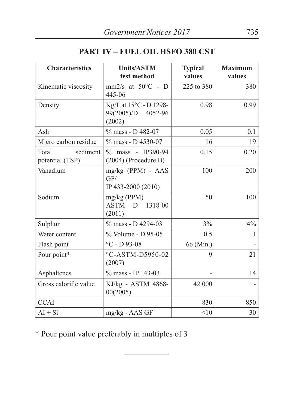|  | <b>PART IV - FUEL OIL HSFO 380 CST</b> |  |  |
|--|----------------------------------------|--|--|
|  |                                        |  |  |

| <b>Characteristics</b>               | <b>Units/ASTM</b>                                      | <b>Typical</b> | <b>Maximum</b> |
|--------------------------------------|--------------------------------------------------------|----------------|----------------|
|                                      | test method                                            | values         | values         |
| Kinematic viscosity                  | mm2/s at $50^{\circ}$ C - D<br>445-06                  | 225 to 380     | 380            |
| Density                              | Kg/L at 15°C - D 1298-<br>99(2005)/D 4052-96<br>(2002) | 0.98           | 0.99           |
| Ash                                  | % mass - D 482-07                                      | 0.05           | 0.1            |
| Micro carbon residue                 | % mass - D 4530-07                                     | 16             | 19             |
| sediment<br>Total<br>potential (TSP) | % mass - IP390-94<br>$(2004)$ (Procedure B)            | 0.15           | 0.20           |
| Vanadium                             | $mg/kg$ (PPM) - AAS<br>GF/<br>IP 433-2000 (2010)       | 100            | 200            |
| Sodium                               | $mg/kg$ (PPM)<br>ASTM<br>D 1318-00<br>(2011)           | 50             | 100            |
| Sulphur                              | % mass - D 4294-03                                     | 3%             | 4%             |
| Water content                        | % Volume - D 95-05                                     | 0.5            | 1              |
| Flash point                          | $^{\circ}$ C - D 93-08                                 | 66 (Min.)      |                |
| Pour point*                          | °C-ASTM-D5950-02<br>(2007)                             | 9              | 21             |
| Asphaltenes                          | % mass - IP 143-03                                     |                | 14             |
| Gross calorific value                | KJ/kg - ASTM 4868-<br>00(2005)                         | 42 000         |                |
| <b>CCAI</b>                          |                                                        | 830            | 850            |
| $AI + Si$                            | mg/kg - AAS GF                                         | <10            | 30             |

\* Pour point value preferably in multiples of 3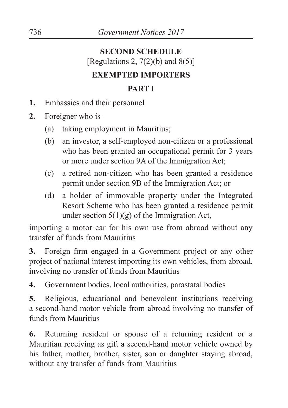# **SECOND SCHEDULE** [Regulations 2,  $7(2)(b)$  and  $8(5)$ ] **EXEMPTED IMPORTERS**

#### **PART I**

- **1.** Embassies and their personnel
- **2.** Foreigner who is
	- (a) taking employment in Mauritius;
	- (b) an investor, a self-employed non-citizen or a professional who has been granted an occupational permit for 3 years or more under section 9A of the Immigration Act;
	- (c) a retired non-citizen who has been granted a residence permit under section 9B of the Immigration Act; or
	- (d) a holder of immovable property under the Integrated Resort Scheme who has been granted a residence permit under section  $5(1)(g)$  of the Immigration Act,

importing a motor car for his own use from abroad without any transfer of funds from Mauritius

**3.** Foreign firm engaged in a Government project or any other project of national interest importing its own vehicles, from abroad, involving no transfer of funds from Mauritius

**4.** Government bodies, local authorities, parastatal bodies

**5.** Religious, educational and benevolent institutions receiving a second-hand motor vehicle from abroad involving no transfer of funds from Mauritius

**6.** Returning resident or spouse of a returning resident or a Mauritian receiving as gift a second-hand motor vehicle owned by his father, mother, brother, sister, son or daughter staying abroad, without any transfer of funds from Mauritius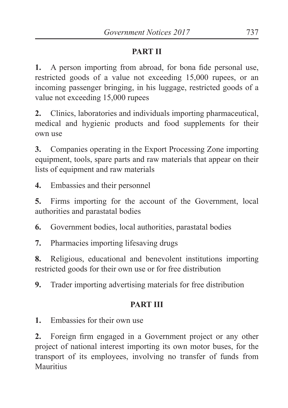# **PART II**

**1.** A person importing from abroad, for bona fide personal use, restricted goods of a value not exceeding 15,000 rupees, or an incoming passenger bringing, in his luggage, restricted goods of a value not exceeding 15,000 rupees

**2.** Clinics, laboratories and individuals importing pharmaceutical, medical and hygienic products and food supplements for their own use

**3.** Companies operating in the Export Processing Zone importing equipment, tools, spare parts and raw materials that appear on their lists of equipment and raw materials

**4.** Embassies and their personnel

**5.** Firms importing for the account of the Government, local authorities and parastatal bodies

**6.** Government bodies, local authorities, parastatal bodies

**7.** Pharmacies importing lifesaving drugs

**8.** Religious, educational and benevolent institutions importing restricted goods for their own use or for free distribution

**9.** Trader importing advertising materials for free distribution

## **PART III**

**1.** Embassies for their own use

**2.** Foreign firm engaged in a Government project or any other project of national interest importing its own motor buses, for the transport of its employees, involving no transfer of funds from Mauritius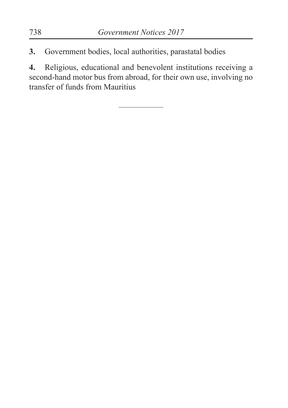**3.** Government bodies, local authorities, parastatal bodies

**4.** Religious, educational and benevolent institutions receiving a second-hand motor bus from abroad, for their own use, involving no transfer of funds from Mauritius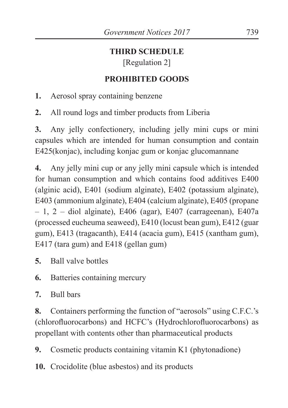## **THIRD SCHEDULE**

[Regulation 2]

# **PROHIBITED GOODS**

**1.** Aerosol spray containing benzene

**2.** All round logs and timber products from Liberia

**3.** Any jelly confectionery, including jelly mini cups or mini capsules which are intended for human consumption and contain E425(konjac), including konjac gum or konjac glucomannane

**4.** Any jelly mini cup or any jelly mini capsule which is intended for human consumption and which contains food additives E400 (alginic acid), E401 (sodium alginate), E402 (potassium alginate), E403 (ammonium alginate), E404 (calcium alginate), E405 (propane – 1, 2 – diol alginate), E406 (agar), E407 (carrageenan), E407a (processed eucheuma seaweed), E410 (locust bean gum), E412 (guar gum), E413 (tragacanth), E414 (acacia gum), E415 (xantham gum), E417 (tara gum) and E418 (gellan gum)

- **5.** Ball valve bottles
- **6.** Batteries containing mercury
- **7.** Bull bars

**8.** Containers performing the function of "aerosols" using C.F.C.'s (chlorofluorocarbons) and HCFC's (Hydrochlorofluorocarbons) as propellant with contents other than pharmaceutical products

**9.** Cosmetic products containing vitamin K1 (phytonadione)

**10.** Crocidolite (blue asbestos) and its products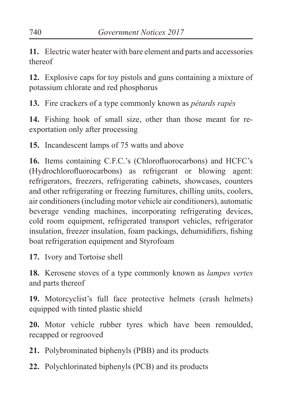**11.** Electric water heater with bare element and parts and accessories thereof

**12.** Explosive caps for toy pistols and guns containing a mixture of potassium chlorate and red phosphorus

**13.** Fire crackers of a type commonly known as *pétards rapés*

**14.** Fishing hook of small size, other than those meant for reexportation only after processing

**15.** Incandescent lamps of 75 watts and above

**16.** Items containing C.F.C.'s (Chlorofluorocarbons) and HCFC's (Hydrochlorofluorocarbons) as refrigerant or blowing agent: refrigerators, freezers, refrigerating cabinets, showcases, counters and other refrigerating or freezing furnitures, chilling units, coolers, air conditioners (including motor vehicle air conditioners), automatic beverage vending machines, incorporating refrigerating devices, cold room equipment, refrigerated transport vehicles, refrigerator insulation, freezer insulation, foam packings, dehumidifiers, fishing boat refrigeration equipment and Styrofoam

**17.** Ivory and Tortoise shell

**18.** Kerosene stoves of a type commonly known as *lampes vertes*  and parts thereof

**19.** Motorcyclist's full face protective helmets (crash helmets) equipped with tinted plastic shield

**20.** Motor vehicle rubber tyres which have been remoulded, recapped or regrooved

**21.** Polybrominated biphenyls (PBB) and its products

**22.** Polychlorinated biphenyls (PCB) and its products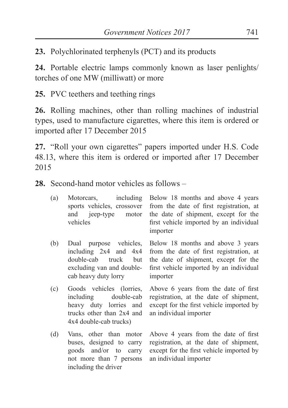**23.** Polychlorinated terphenyls (PCT) and its products

**24.** Portable electric lamps commonly known as laser penlights/ torches of one MW (milliwatt) or more

**25.** PVC teethers and teething rings

**26.** Rolling machines, other than rolling machines of industrial types, used to manufacture cigarettes, where this item is ordered or imported after 17 December 2015

**27.** "Roll your own cigarettes" papers imported under H.S. Code 48.13, where this item is ordered or imported after 17 December 2015

**28.** Second-hand motor vehicles as follows –

| (a) |               | Motorcars, including Below 18 months and above 4 years             |
|-----|---------------|--------------------------------------------------------------------|
|     |               | sports vehicles, crossover from the date of first registration, at |
|     | and jeep-type | motor the date of shipment, except for the                         |
|     | vehicles      | first vehicle imported by an individual                            |
|     |               | importer                                                           |

- (b) Dual purpose vehicles, including 2x4 and 4x4 double-cab truck but excluding van and doublecab heavy duty lorry Below 18 months and above 3 years from the date of first registration, at the date of shipment, except for the first vehicle imported by an individual importer
- (c) Goods vehicles (lorries, including double-cab heavy duty lorries and trucks other than 2x4 and 4x4 double-cab trucks)
- (d) Vans, other than motor buses, designed to carry goods and/or to carry not more than 7 persons including the driver

Above 6 years from the date of first registration, at the date of shipment, except for the first vehicle imported by an individual importer

Above 4 years from the date of first registration, at the date of shipment, except for the first vehicle imported by an individual importer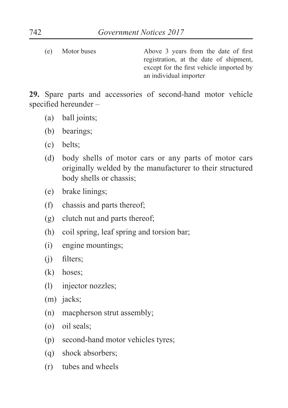(e) Motor buses Above 3 years from the date of first registration, at the date of shipment, except for the first vehicle imported by an individual importer

**29.** Spare parts and accessories of second-hand motor vehicle specified hereunder –

- (a) ball joints;
- (b) bearings;
- (c) belts;
- (d) body shells of motor cars or any parts of motor cars originally welded by the manufacturer to their structured body shells or chassis;
- (e) brake linings;
- (f) chassis and parts thereof;
- (g) clutch nut and parts thereof;
- (h) coil spring, leaf spring and torsion bar;
- (i) engine mountings;
- (j) filters;
- (k) hoses;
- (l) injector nozzles;
- (m) jacks:
- (n) macpherson strut assembly;
- (o) oil seals;
- (p) second-hand motor vehicles tyres;
- (q) shock absorbers;
- (r) tubes and wheels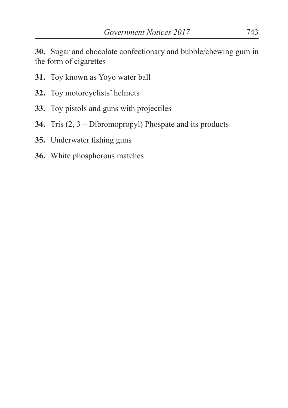**30.** Sugar and chocolate confectionary and bubble/chewing gum in the form of cigarettes

- **31.** Toy known as Yoyo water ball
- **32.** Toy motorcyclists' helmets
- **33.** Toy pistols and guns with projectiles
- **34.** Tris (2, 3 Dibromopropyl) Phospate and its products
- **35.** Underwater fishing guns
- **36.** White phosphorous matches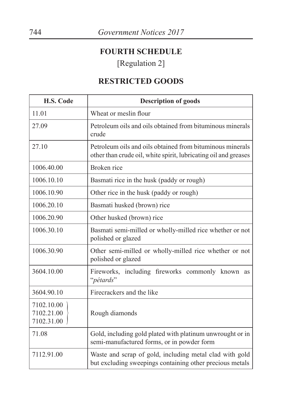## **FOURTH SCHEDULE**

[Regulation 2]

## **RESTRICTED GOODS**

| H.S. Code                              | <b>Description of goods</b>                                                                                                  |
|----------------------------------------|------------------------------------------------------------------------------------------------------------------------------|
| 11.01                                  | Wheat or meslin flour                                                                                                        |
| 27.09                                  | Petroleum oils and oils obtained from bituminous minerals<br>crude                                                           |
| 27.10                                  | Petroleum oils and oils obtained from bituminous minerals<br>other than crude oil, white spirit, lubricating oil and greases |
| 1006.40.00                             | Broken rice                                                                                                                  |
| 1006.10.10                             | Basmati rice in the husk (paddy or rough)                                                                                    |
| 1006.10.90                             | Other rice in the husk (paddy or rough)                                                                                      |
| 1006.20.10                             | Basmati husked (brown) rice                                                                                                  |
| 1006.20.90                             | Other husked (brown) rice                                                                                                    |
| 1006.30.10                             | Basmati semi-milled or wholly-milled rice whether or not<br>polished or glazed                                               |
| 1006.30.90                             | Other semi-milled or wholly-milled rice whether or not<br>polished or glazed                                                 |
| 3604.10.00                             | Fireworks, including fireworks commonly known<br>as<br>"pétards"                                                             |
| 3604.90.10                             | Firecrackers and the like                                                                                                    |
| 7102.10.00<br>7102.21.00<br>7102.31.00 | Rough diamonds                                                                                                               |
| 71.08                                  | Gold, including gold plated with platinum unwrought or in<br>semi-manufactured forms, or in powder form                      |
| 7112.91.00                             | Waste and scrap of gold, including metal clad with gold<br>but excluding sweepings containing other precious metals          |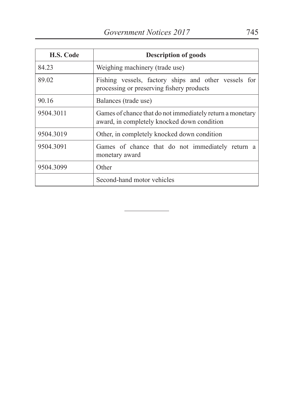| <b>H.S. Code</b> | <b>Description of goods</b>                                                                              |  |
|------------------|----------------------------------------------------------------------------------------------------------|--|
| 84.23            | Weighing machinery (trade use)                                                                           |  |
| 89.02            | Fishing vessels, factory ships and other vessels for<br>processing or preserving fishery products        |  |
| 90.16            | Balances (trade use)                                                                                     |  |
| 9504.3011        | Games of chance that do not immediately return a monetary<br>award, in completely knocked down condition |  |
| 9504.3019        | Other, in completely knocked down condition                                                              |  |
| 9504.3091        | Games of chance that do not immediately return a<br>monetary award                                       |  |
| 9504.3099        | Other                                                                                                    |  |
|                  | Second-hand motor vehicles                                                                               |  |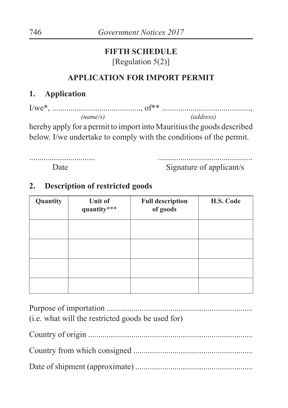#### **FIFTH SCHEDULE** [Regulation 5(2)]

#### **APPLICATION FOR IMPORT PERMIT**

#### **1. Application**

| 'name/s) | (address) |
|----------|-----------|

hereby apply for a permit to import into Mauritius the goods described below. I/we undertake to comply with the conditions of the permit.

................................ Date

.............................................. Signature of applicant/s

#### **2. Description of restricted goods**

| Quantity | Unit of<br>quantity*** | <b>Full description</b><br>of goods | H.S. Code |
|----------|------------------------|-------------------------------------|-----------|
|          |                        |                                     |           |
|          |                        |                                     |           |
|          |                        |                                     |           |
|          |                        |                                     |           |

| (i.e. what will the restricted goods be used for) |
|---------------------------------------------------|
|                                                   |
|                                                   |
|                                                   |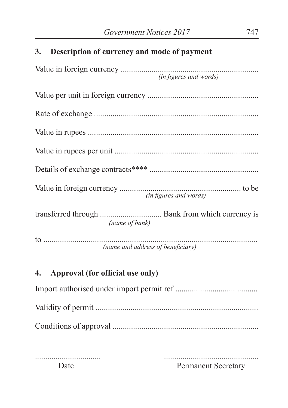#### **3. Description of currency and mode of payment**

| (in figures and words)              |
|-------------------------------------|
| (name of bank)                      |
| (name and address of beneficiary)   |
| 4. Approval (for official use only) |
|                                     |
|                                     |
|                                     |

Conditions of approval .......................................................................

.............................................. Permanent Secretary

................................ Date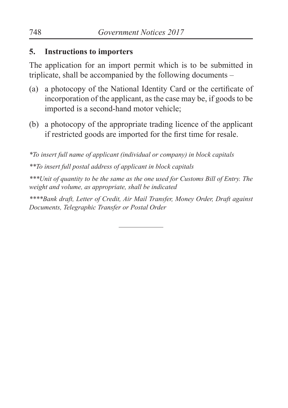#### **5. Instructions to importers**

The application for an import permit which is to be submitted in triplicate, shall be accompanied by the following documents –

- (a) a photocopy of the National Identity Card or the certificate of incorporation of the applicant, as the case may be, if goods to be imported is a second-hand motor vehicle;
- (b) a photocopy of the appropriate trading licence of the applicant if restricted goods are imported for the first time for resale.

*\*To insert full name of applicant (individual or company) in block capitals*

*\*\*To insert full postal address of applicant in block capitals*

*\*\*\*Unit of quantity to be the same as the one used for Customs Bill of Entry. The weight and volume, as appropriate, shall be indicated*

*\*\*\*\*Bank draft, Letter of Credit, Air Mail Transfer, Money Order, Draft against Documents, Telegraphic Transfer or Postal Order*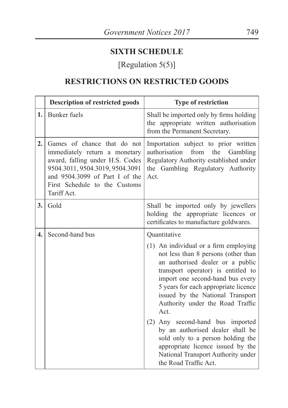### **SIXTH SCHEDULE**

# [Regulation 5(5)]

## **RESTRICTIONS ON RESTRICTED GOODS**

| <b>Description of restricted goods</b>                                                                                                                                                                               | <b>Type of restriction</b>                                                                                                                                                                                                                                                                                                                                                                                                                                                                                 |
|----------------------------------------------------------------------------------------------------------------------------------------------------------------------------------------------------------------------|------------------------------------------------------------------------------------------------------------------------------------------------------------------------------------------------------------------------------------------------------------------------------------------------------------------------------------------------------------------------------------------------------------------------------------------------------------------------------------------------------------|
| <b>Bunker</b> fuels                                                                                                                                                                                                  | Shall be imported only by firms holding<br>the appropriate written authorisation<br>from the Permanent Secretary.                                                                                                                                                                                                                                                                                                                                                                                          |
| Games of chance that do not<br>immediately return a monetary<br>award, falling under H.S. Codes<br>9504.3011, 9504.3019, 9504.3091<br>and 9504.3099 of Part I of the<br>First Schedule to the Customs<br>Tariff Act. | Importation subject to prior written<br>authorisation<br>from<br>the<br>Gambling<br>Regulatory Authority established under<br>the Gambling Regulatory Authority<br>Act.                                                                                                                                                                                                                                                                                                                                    |
| Gold                                                                                                                                                                                                                 | Shall be imported only by jewellers<br>holding the appropriate licences or<br>certificates to manufacture goldwares.                                                                                                                                                                                                                                                                                                                                                                                       |
| Second-hand bus                                                                                                                                                                                                      | Quantitative                                                                                                                                                                                                                                                                                                                                                                                                                                                                                               |
|                                                                                                                                                                                                                      | (1) An individual or a firm employing<br>not less than 8 persons (other than<br>an authorised dealer or a public<br>transport operator) is entitled to<br>import one second-hand bus every<br>5 years for each appropriate licence<br>issued by the National Transport<br>Authority under the Road Traffic<br>Act.<br>(2) Any second-hand bus imported<br>by an authorised dealer shall be<br>sold only to a person holding the<br>appropriate licence issued by the<br>National Transport Authority under |
|                                                                                                                                                                                                                      |                                                                                                                                                                                                                                                                                                                                                                                                                                                                                                            |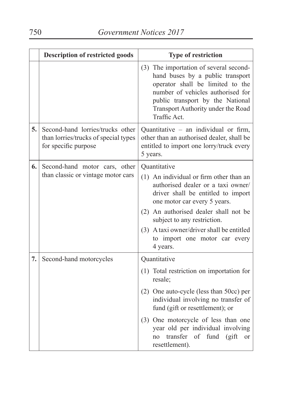|    | <b>Description of restricted goods</b>                                                           | <b>Type of restriction</b>                                                                                                                                                                                                                    |
|----|--------------------------------------------------------------------------------------------------|-----------------------------------------------------------------------------------------------------------------------------------------------------------------------------------------------------------------------------------------------|
|    |                                                                                                  | (3) The importation of several second-<br>hand buses by a public transport<br>operator shall be limited to the<br>number of vehicles authorised for<br>public transport by the National<br>Transport Authority under the Road<br>Traffic Act. |
| 5. | Second-hand lorries/trucks other<br>than lorries/trucks of special types<br>for specific purpose | Quantitative - an individual or firm,<br>other than an authorised dealer, shall be<br>entitled to import one lorry/truck every<br>5 years.                                                                                                    |
| 6. | Second-hand motor cars, other                                                                    | Quantitative                                                                                                                                                                                                                                  |
|    | than classic or vintage motor cars                                                               | (1) An individual or firm other than an<br>authorised dealer or a taxi owner/<br>driver shall be entitled to import<br>one motor car every 5 years.<br>(2) An authorised dealer shall not be                                                  |
|    |                                                                                                  | subject to any restriction.                                                                                                                                                                                                                   |
|    |                                                                                                  | (3) A taxi owner/driver shall be entitled<br>to import one motor car every<br>4 years.                                                                                                                                                        |
| 7. | Second-hand motorcycles                                                                          | Quantitative                                                                                                                                                                                                                                  |
|    |                                                                                                  | (1) Total restriction on importation for<br>resale;                                                                                                                                                                                           |
|    |                                                                                                  | (2) One auto-cycle (less than 50cc) per<br>individual involving no transfer of<br>fund (gift or resettlement); or                                                                                                                             |
|    |                                                                                                  | (3) One motorcycle of less than one<br>year old per individual involving<br>transfer of fund<br>(gift)<br>no<br><sub>or</sub><br>resettlement).                                                                                               |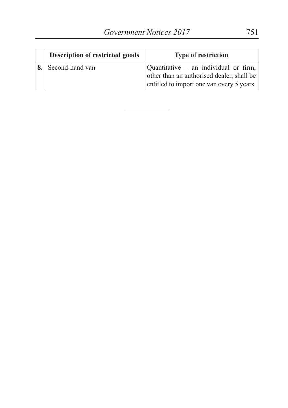| <b>Description of restricted goods</b> | <b>Type of restriction</b>                                                                                                      |
|----------------------------------------|---------------------------------------------------------------------------------------------------------------------------------|
| Second-hand van                        | Quantitative – an individual or firm,<br>other than an authorised dealer, shall be<br>entitled to import one van every 5 years. |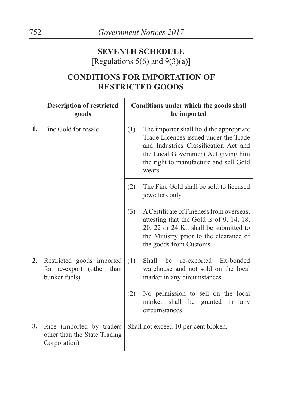#### **SEVENTH SCHEDULE** [Regulations  $5(6)$  and  $9(3)(a)$ ]

## **CONDITIONS FOR IMPORTATION OF RESTRICTED GOODS**

|    | <b>Description of restricted</b><br>goods                                 | Conditions under which the goods shall<br>be imported |                                                                                                                                                                                                                      |
|----|---------------------------------------------------------------------------|-------------------------------------------------------|----------------------------------------------------------------------------------------------------------------------------------------------------------------------------------------------------------------------|
| 1. | Fine Gold for resale                                                      | (1)                                                   | The importer shall hold the appropriate<br>Trade Licences issued under the Trade<br>and Industries Classification Act and<br>the Local Government Act giving him<br>the right to manufacture and sell Gold<br>wears. |
|    |                                                                           | (2)                                                   | The Fine Gold shall be sold to licensed<br>jewellers only.                                                                                                                                                           |
|    |                                                                           | (3)                                                   | A Certificate of Fineness from overseas.<br>attesting that the Gold is of 9, 14, 18,<br>20, 22 or 24 Kt, shall be submitted to<br>the Ministry prior to the clearance of<br>the goods from Customs.                  |
| 2. | Restricted goods imported<br>for re-export (other than<br>bunker fuels)   | (1)                                                   | Shall<br>be<br>re-exported Ex-bonded<br>warehouse and not sold on the local<br>market in any circumstances.                                                                                                          |
|    |                                                                           | (2)                                                   | No permission to sell on the local<br>market<br>shall<br>be<br>granted<br>in<br>any<br>circumstances.                                                                                                                |
| 3. | Rice (imported by traders<br>other than the State Trading<br>Corporation) |                                                       | Shall not exceed 10 per cent broken.                                                                                                                                                                                 |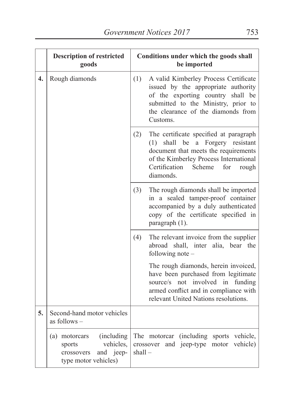|                  | <b>Description of restricted</b><br>goods                                                              | Conditions under which the goods shall<br>be imported                                                                                                                                                                                |
|------------------|--------------------------------------------------------------------------------------------------------|--------------------------------------------------------------------------------------------------------------------------------------------------------------------------------------------------------------------------------------|
| $\overline{4}$ . | Rough diamonds                                                                                         | (1)<br>A valid Kimberley Process Certificate<br>issued by the appropriate authority<br>of the exporting country shall be<br>submitted to the Ministry, prior to<br>the clearance of the diamonds from<br>Customs.                    |
|                  |                                                                                                        | The certificate specified at paragraph<br>(2)<br>a Forgery resistant<br>shall<br>be<br>(1)<br>document that meets the requirements<br>of the Kimberley Process International<br>Certification<br>Scheme<br>for<br>rough<br>diamonds. |
|                  |                                                                                                        | (3)<br>The rough diamonds shall be imported<br>in a sealed tamper-proof container<br>accompanied by a duly authenticated<br>copy of the certificate specified in<br>paragraph (1).                                                   |
|                  |                                                                                                        | The relevant invoice from the supplier<br>(4)<br>abroad<br>shall, inter alia, bear the<br>following note -                                                                                                                           |
|                  |                                                                                                        | The rough diamonds, herein invoiced,<br>have been purchased from legitimate<br>source/s not involved in funding<br>armed conflict and in compliance with<br>relevant United Nations resolutions.                                     |
| 5.               | Second-hand motor vehicles<br>as follows -                                                             |                                                                                                                                                                                                                                      |
|                  | (including)<br>(a) motorcars<br>vehicles,<br>sports<br>and jeep-<br>crossovers<br>type motor vehicles) | The motorcar (including sports vehicle,<br>and jeep-type motor<br>vehicle)<br>crossover<br>$shall -$                                                                                                                                 |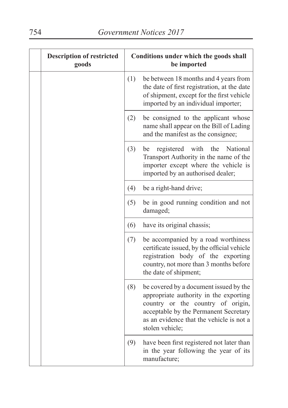| <b>Description of restricted</b><br>goods | Conditions under which the goods shall<br>be imported |                                                                                                                                                                                                                               |
|-------------------------------------------|-------------------------------------------------------|-------------------------------------------------------------------------------------------------------------------------------------------------------------------------------------------------------------------------------|
|                                           | (1)                                                   | be between 18 months and 4 years from<br>the date of first registration, at the date<br>of shipment, except for the first vehicle<br>imported by an individual importer;                                                      |
|                                           | (2)                                                   | be consigned to the applicant whose<br>name shall appear on the Bill of Lading<br>and the manifest as the consignee;                                                                                                          |
|                                           | (3)                                                   | registered<br>with<br>the<br>National<br>be<br>Transport Authority in the name of the<br>importer except where the vehicle is<br>imported by an authorised dealer;                                                            |
|                                           | (4)                                                   | be a right-hand drive;                                                                                                                                                                                                        |
|                                           | (5)                                                   | be in good running condition and not<br>damaged;                                                                                                                                                                              |
|                                           | (6)                                                   | have its original chassis;                                                                                                                                                                                                    |
|                                           | (7)                                                   | be accompanied by a road worthiness<br>certificate issued, by the official vehicle<br>registration body of the exporting<br>country, not more than 3 months before<br>the date of shipment;                                   |
|                                           | (8)                                                   | be covered by a document issued by the<br>appropriate authority in the exporting<br>country or the country of origin,<br>acceptable by the Permanent Secretary<br>as an evidence that the vehicle is not a<br>stolen vehicle; |
|                                           | (9)                                                   | have been first registered not later than<br>in the year following the year of its<br>manufacture;                                                                                                                            |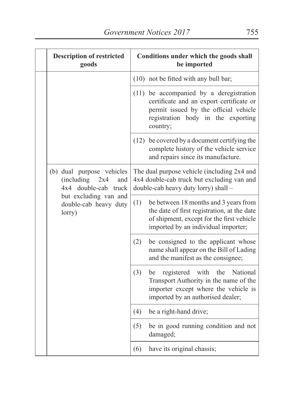|  | <b>Description of restricted</b><br>goods                                                                                                 |     | Conditions under which the goods shall<br>be imported                                                                                                                          |
|--|-------------------------------------------------------------------------------------------------------------------------------------------|-----|--------------------------------------------------------------------------------------------------------------------------------------------------------------------------------|
|  |                                                                                                                                           |     | (10) not be fitted with any bull bar;                                                                                                                                          |
|  |                                                                                                                                           |     | (11) be accompanied by a deregistration<br>certificate and an export certificate or<br>permit issued by the official vehicle<br>registration body in the exporting<br>country; |
|  |                                                                                                                                           |     | (12) be covered by a document certifying the<br>complete history of the vehicle service<br>and repairs since its manufacture.                                                  |
|  | (b) dual purpose vehicles<br>(including<br>2x4<br>and<br>4x4 double-cab truck<br>but excluding van and<br>double-cab heavy duty<br>lorry) |     | The dual purpose vehicle (including 2x4 and<br>4x4 double-cab truck but excluding van and<br>double-cab heavy duty lorry) shall -                                              |
|  |                                                                                                                                           | (1) | be between 18 months and 3 years from<br>the date of first registration, at the date<br>of shipment, except for the first vehicle<br>imported by an individual importer;       |
|  |                                                                                                                                           | (2) | be consigned to the applicant whose<br>name shall appear on the Bill of Lading<br>and the manifest as the consignee;                                                           |
|  |                                                                                                                                           | (3) | with<br>the<br>be<br>registered<br>National<br>Transport Authority in the name of the<br>importer except where the vehicle is<br>imported by an authorised dealer;             |
|  |                                                                                                                                           | (4) | be a right-hand drive;                                                                                                                                                         |
|  |                                                                                                                                           | (5) | be in good running condition and not<br>damaged;                                                                                                                               |
|  |                                                                                                                                           | (6) | have its original chassis;                                                                                                                                                     |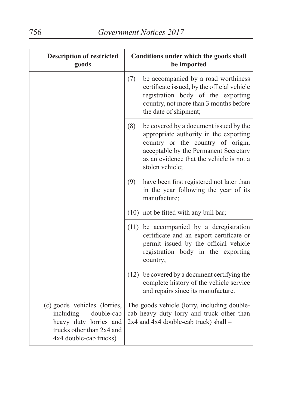| <b>Description of restricted</b><br>goods                                                                                                |     | Conditions under which the goods shall<br>be imported                                                                                                                                                                         |
|------------------------------------------------------------------------------------------------------------------------------------------|-----|-------------------------------------------------------------------------------------------------------------------------------------------------------------------------------------------------------------------------------|
|                                                                                                                                          | (7) | be accompanied by a road worthiness<br>certificate issued, by the official vehicle<br>registration body of the exporting<br>country, not more than 3 months before<br>the date of shipment;                                   |
|                                                                                                                                          | (8) | be covered by a document issued by the<br>appropriate authority in the exporting<br>country or the country of origin,<br>acceptable by the Permanent Secretary<br>as an evidence that the vehicle is not a<br>stolen vehicle; |
|                                                                                                                                          | (9) | have been first registered not later than<br>in the year following the year of its<br>manufacture;                                                                                                                            |
|                                                                                                                                          |     | (10) not be fitted with any bull bar;                                                                                                                                                                                         |
|                                                                                                                                          |     | (11) be accompanied by a deregistration<br>certificate and an export certificate or<br>permit issued by the official vehicle<br>registration body in the exporting<br>country;                                                |
|                                                                                                                                          |     | (12) be covered by a document certifying the<br>complete history of the vehicle service<br>and repairs since its manufacture.                                                                                                 |
| (c) goods vehicles (lorries,<br>including<br>double-cab<br>heavy duty lorries and<br>trucks other than 2x4 and<br>4x4 double-cab trucks) |     | The goods vehicle (lorry, including double-<br>cab heavy duty lorry and truck other than<br>2x4 and 4x4 double-cab truck) shall -                                                                                             |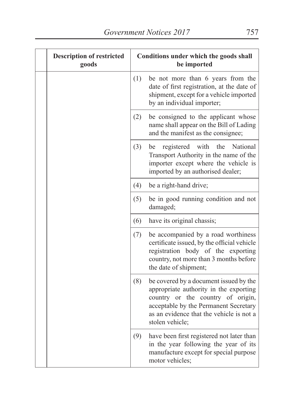| <b>Description of restricted</b><br>goods |     | Conditions under which the goods shall<br>be imported                                                                                                                                                                         |
|-------------------------------------------|-----|-------------------------------------------------------------------------------------------------------------------------------------------------------------------------------------------------------------------------------|
|                                           | (1) | be not more than 6 years from the<br>date of first registration, at the date of<br>shipment, except for a vehicle imported<br>by an individual importer;                                                                      |
|                                           | (2) | be consigned to the applicant whose<br>name shall appear on the Bill of Lading<br>and the manifest as the consignee;                                                                                                          |
|                                           | (3) | National<br>registered<br>with<br>the<br>be<br>Transport Authority in the name of the<br>importer except where the vehicle is<br>imported by an authorised dealer;                                                            |
|                                           | (4) | be a right-hand drive;                                                                                                                                                                                                        |
|                                           | (5) | be in good running condition and not<br>damaged;                                                                                                                                                                              |
|                                           | (6) | have its original chassis;                                                                                                                                                                                                    |
|                                           | (7) | be accompanied by a road worthiness<br>certificate issued, by the official vehicle<br>registration body of the exporting<br>country, not more than 3 months before<br>the date of shipment;                                   |
|                                           | (8) | be covered by a document issued by the<br>appropriate authority in the exporting<br>country or the country of origin,<br>acceptable by the Permanent Secretary<br>as an evidence that the vehicle is not a<br>stolen vehicle; |
|                                           | (9) | have been first registered not later than<br>in the year following the year of its<br>manufacture except for special purpose<br>motor vehicles;                                                                               |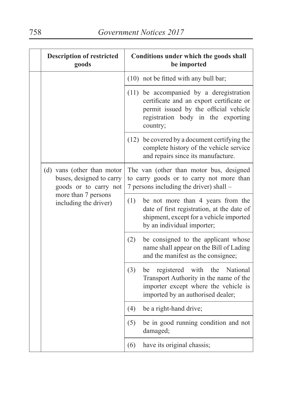|  | <b>Description of restricted</b><br>goods                                                                                       |     | Conditions under which the goods shall<br>be imported                                                                                                                          |
|--|---------------------------------------------------------------------------------------------------------------------------------|-----|--------------------------------------------------------------------------------------------------------------------------------------------------------------------------------|
|  |                                                                                                                                 |     | (10) not be fitted with any bull bar;                                                                                                                                          |
|  |                                                                                                                                 |     | (11) be accompanied by a deregistration<br>certificate and an export certificate or<br>permit issued by the official vehicle<br>registration body in the exporting<br>country; |
|  |                                                                                                                                 |     | (12) be covered by a document certifying the<br>complete history of the vehicle service<br>and repairs since its manufacture.                                                  |
|  | (d) vans (other than motor<br>buses, designed to carry<br>goods or to carry not<br>more than 7 persons<br>including the driver) |     | The van (other than motor bus, designed<br>to carry goods or to carry not more than<br>7 persons including the driver) shall -                                                 |
|  |                                                                                                                                 | (1) | be not more than 4 years from the<br>date of first registration, at the date of<br>shipment, except for a vehicle imported<br>by an individual importer;                       |
|  |                                                                                                                                 | (2) | be consigned to the applicant whose<br>name shall appear on the Bill of Lading<br>and the manifest as the consignee;                                                           |
|  |                                                                                                                                 | (3) | registered<br>with<br>the<br>National<br>be<br>Transport Authority in the name of the<br>importer except where the vehicle is<br>imported by an authorised dealer;             |
|  |                                                                                                                                 | (4) | be a right-hand drive;                                                                                                                                                         |
|  |                                                                                                                                 | (5) | be in good running condition and not<br>damaged;                                                                                                                               |
|  |                                                                                                                                 | (6) | have its original chassis;                                                                                                                                                     |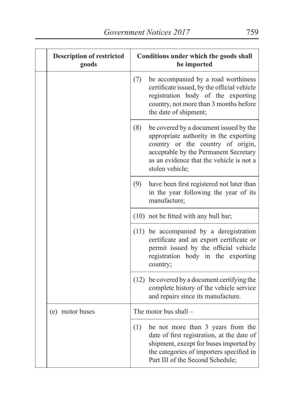| <b>Description of restricted</b><br>goods | Conditions under which the goods shall<br>be imported |                                                                                                                                                                                                                               |
|-------------------------------------------|-------------------------------------------------------|-------------------------------------------------------------------------------------------------------------------------------------------------------------------------------------------------------------------------------|
|                                           | (7)                                                   | be accompanied by a road worthiness<br>certificate issued, by the official vehicle<br>registration body of the exporting<br>country, not more than 3 months before<br>the date of shipment;                                   |
|                                           | (8)                                                   | be covered by a document issued by the<br>appropriate authority in the exporting<br>country or the country of origin,<br>acceptable by the Permanent Secretary<br>as an evidence that the vehicle is not a<br>stolen vehicle; |
|                                           | (9)                                                   | have been first registered not later than<br>in the year following the year of its<br>manufacture;                                                                                                                            |
|                                           |                                                       | (10) not be fitted with any bull bar;                                                                                                                                                                                         |
|                                           |                                                       | $(11)$ be accompanied by a deregistration<br>certificate and an export certificate or<br>permit issued by the official vehicle<br>registration body in the exporting<br>country;                                              |
|                                           |                                                       | (12) be covered by a document certifying the<br>complete history of the vehicle service<br>and repairs since its manufacture.                                                                                                 |
| (e) motor buses                           |                                                       | The motor bus shall -                                                                                                                                                                                                         |
|                                           | (1)                                                   | be not more than 3 years from the<br>date of first registration, at the date of<br>shipment, except for buses imported by<br>the categories of importers specified in<br>Part III of the Second Schedule;                     |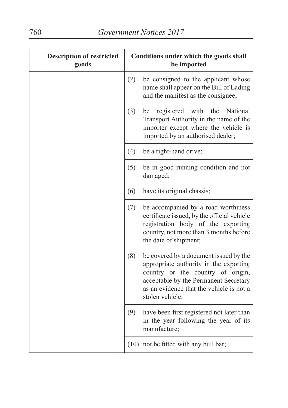| <b>Description of restricted</b><br>goods |     | Conditions under which the goods shall<br>be imported                                                                                                                                                                         |
|-------------------------------------------|-----|-------------------------------------------------------------------------------------------------------------------------------------------------------------------------------------------------------------------------------|
|                                           | (2) | be consigned to the applicant whose<br>name shall appear on the Bill of Lading<br>and the manifest as the consignee;                                                                                                          |
|                                           | (3) | registered<br>with<br>the<br>National<br>be<br>Transport Authority in the name of the<br>importer except where the vehicle is<br>imported by an authorised dealer;                                                            |
|                                           | (4) | be a right-hand drive;                                                                                                                                                                                                        |
|                                           | (5) | be in good running condition and not<br>damaged;                                                                                                                                                                              |
|                                           | (6) | have its original chassis;                                                                                                                                                                                                    |
|                                           | (7) | be accompanied by a road worthiness<br>certificate issued, by the official vehicle<br>registration body of the exporting<br>country, not more than 3 months before<br>the date of shipment;                                   |
|                                           | (8) | be covered by a document issued by the<br>appropriate authority in the exporting<br>country or the country of origin,<br>acceptable by the Permanent Secretary<br>as an evidence that the vehicle is not a<br>stolen vehicle; |
|                                           | (9) | have been first registered not later than<br>in the year following the year of its<br>manufacture;                                                                                                                            |
|                                           |     | (10) not be fitted with any bull bar;                                                                                                                                                                                         |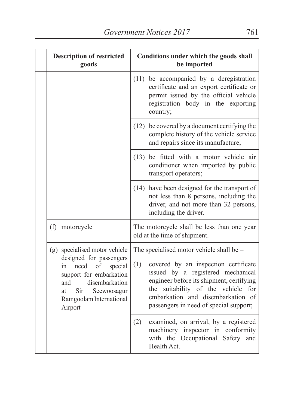| <b>Description of restricted</b><br>goods                                                                                                                                               | Conditions under which the goods shall<br>be imported                                                                                                                                                                                             |
|-----------------------------------------------------------------------------------------------------------------------------------------------------------------------------------------|---------------------------------------------------------------------------------------------------------------------------------------------------------------------------------------------------------------------------------------------------|
|                                                                                                                                                                                         | $(11)$ be accompanied by a deregistration<br>certificate and an export certificate or<br>permit issued by the official vehicle<br>registration body in the exporting<br>country;                                                                  |
|                                                                                                                                                                                         | (12) be covered by a document certifying the<br>complete history of the vehicle service<br>and repairs since its manufacture;                                                                                                                     |
|                                                                                                                                                                                         | (13) be fitted with a motor vehicle air<br>conditioner when imported by public<br>transport operators;                                                                                                                                            |
|                                                                                                                                                                                         | (14) have been designed for the transport of<br>not less than 8 persons, including the<br>driver, and not more than 32 persons,<br>including the driver.                                                                                          |
| (f) motorcycle                                                                                                                                                                          | The motorcycle shall be less than one year<br>old at the time of shipment.                                                                                                                                                                        |
| (g) specialised motor vehicle                                                                                                                                                           | The specialised motor vehicle shall be -                                                                                                                                                                                                          |
| designed for passengers<br>need<br><sub>of</sub><br>special<br>in<br>support for embarkation<br>disembarkation<br>and<br>Sir<br>Seewoosagur<br>at<br>Ramgoolam International<br>Airport | (1)<br>covered by an inspection certificate<br>issued by a registered mechanical<br>engineer before its shipment, certifying<br>the suitability of the vehicle for<br>embarkation and disembarkation of<br>passengers in need of special support; |
|                                                                                                                                                                                         | (2)<br>examined, on arrival, by a registered<br>machinery inspector in conformity<br>with the Occupational<br>Safety<br>and<br>Health Act.                                                                                                        |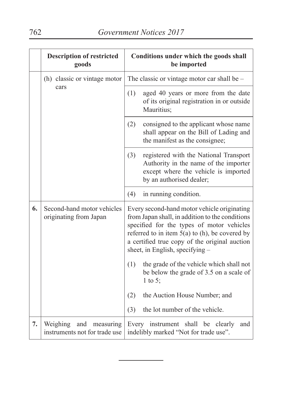|    | <b>Description of restricted</b><br>goods                     | Conditions under which the goods shall<br>be imported                                                                                                                                                                                                                               |
|----|---------------------------------------------------------------|-------------------------------------------------------------------------------------------------------------------------------------------------------------------------------------------------------------------------------------------------------------------------------------|
|    | (h) classic or vintage motor                                  | The classic or vintage motor car shall be -                                                                                                                                                                                                                                         |
|    | cars                                                          | (1)<br>aged 40 years or more from the date<br>of its original registration in or outside<br>Mauritius;                                                                                                                                                                              |
|    |                                                               | (2)<br>consigned to the applicant whose name<br>shall appear on the Bill of Lading and<br>the manifest as the consignee;                                                                                                                                                            |
|    |                                                               | (3)<br>registered with the National Transport<br>Authority in the name of the importer<br>except where the vehicle is imported<br>by an authorised dealer;                                                                                                                          |
|    |                                                               | (4)<br>in running condition.                                                                                                                                                                                                                                                        |
| 6. | Second-hand motor vehicles<br>originating from Japan          | Every second-hand motor vehicle originating<br>from Japan shall, in addition to the conditions<br>specified for the types of motor vehicles<br>referred to in item $5(a)$ to (h), be covered by<br>a certified true copy of the original auction<br>sheet, in English, specifying - |
|    |                                                               | (1)<br>the grade of the vehicle which shall not<br>be below the grade of 3.5 on a scale of<br>1 to 5;                                                                                                                                                                               |
|    |                                                               | (2)<br>the Auction House Number; and                                                                                                                                                                                                                                                |
|    |                                                               | the lot number of the vehicle.<br>(3)                                                                                                                                                                                                                                               |
| 7. | Weighing<br>and<br>measuring<br>instruments not for trade use | Every instrument shall be clearly<br>and<br>indelibly marked "Not for trade use".                                                                                                                                                                                                   |

÷.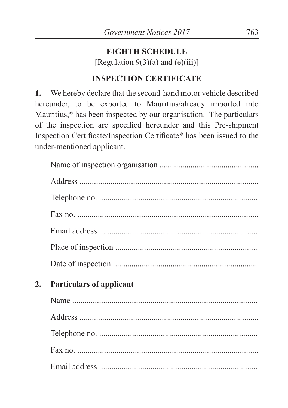# **EIGHTH SCHEDULE**

[Regulation  $9(3)(a)$  and  $(e)(iii)$ ]

# **INSPECTION CERTIFICATE**

**1.** We hereby declare that the second-hand motor vehicle described hereunder, to be exported to Mauritius/already imported into Mauritius,\* has been inspected by our organisation. The particulars of the inspection are specified hereunder and this Pre-shipment Inspection Certificate/Inspection Certificate\* has been issued to the under-mentioned applicant.

| 2. | <b>Particulars of applicant</b> |
|----|---------------------------------|
|    |                                 |
|    |                                 |
|    |                                 |
|    |                                 |
|    |                                 |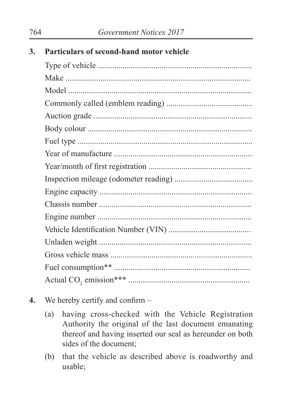| 3. | Particulars of second-hand motor vehicle |
|----|------------------------------------------|
|    |                                          |
|    |                                          |
|    |                                          |
|    |                                          |
|    |                                          |
|    |                                          |
|    |                                          |
|    |                                          |
|    |                                          |
|    |                                          |
|    |                                          |
|    |                                          |
|    |                                          |
|    |                                          |
|    |                                          |
|    |                                          |
|    |                                          |
|    |                                          |
|    |                                          |

- **4.** We hereby certify and confirm
	- (a) having cross-checked with the Vehicle Registration Authority the original of the last document emanating thereof and having inserted our seal as hereunder on both sides of the document;
	- (b) that the vehicle as described above is roadworthy and usable;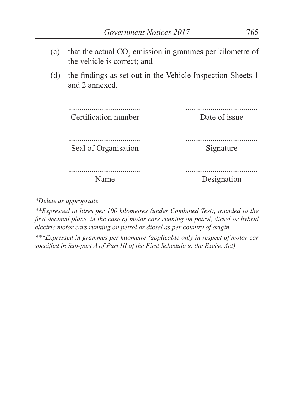- (c) that the actual  $CO_2$  emission in grammes per kilometre of the vehicle is correct; and
- (d) the findings as set out in the Vehicle Inspection Sheets 1 and 2 annexed.

................................... Certification number ................................... Date of issue ................................... Seal of Organisation ................................... Signature ................................... Name ................................... Designation

*\*Delete as appropriate*

*\*\*Expressed in litres per 100 kilometres (under Combined Test), rounded to the first decimal place, in the case of motor cars running on petrol, diesel or hybrid electric motor cars running on petrol or diesel as per country of origin*

*\*\*\*Expressed in grammes per kilometre (applicable only in respect of motor car specified in Sub-part A of Part III of the First Schedule to the Excise Act)*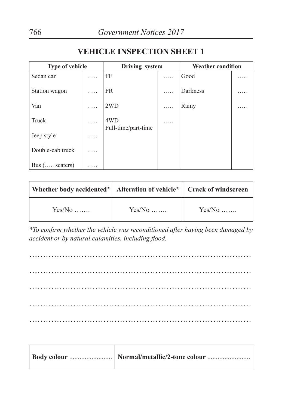| <b>Type of vehicle</b> |   | Driving system             |   | <b>Weather condition</b> |   |
|------------------------|---|----------------------------|---|--------------------------|---|
| Sedan car              | . | FF                         | . | Good                     |   |
| Station wagon          | . | <b>FR</b>                  | . | Darkness                 | . |
| Van                    | . | 2WD                        | . | Rainy                    | . |
| Truck                  | . | 4WD<br>Full-time/part-time | . |                          |   |
| Jeep style             |   |                            |   |                          |   |
| Double-cab truck       | . |                            |   |                          |   |
| Bus $(\dots)$ seaters) |   |                            |   |                          |   |

#### **VEHICLE INSPECTION SHEET 1**

| Whether body accidented*   Alteration of vehicle*   Crack of windscreen |          |          |
|-------------------------------------------------------------------------|----------|----------|
| $Yes/No$                                                                | $Yes/No$ | $Yes/No$ |

*\*To confirm whether the vehicle was reconditioned after having been damaged by accident or by natural calamities, including flood.*

……………………………………………………………………… ……………………………………………………………………… ……………………………………………………………………… ……………………………………………………………………… ………………………………………………………………………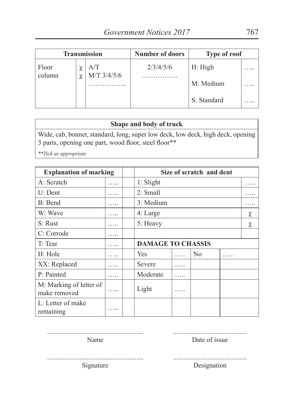|                 |        | <b>Transmission</b> | <b>Number of doors</b> | Type of roof |  |
|-----------------|--------|---------------------|------------------------|--------------|--|
| Floor<br>column | $\sim$ | A/T<br>M/T 3/4/5/6  | 2/3/4/5/6              | H: High      |  |
|                 | χ      |                     |                        | M: Medium    |  |
|                 |        |                     |                        | S: Standard  |  |

#### **Shape and body of truck**

Wide, cab, bonnet, standard, long, super low deck, low deck, high deck, opening 3 parts, opening one part, wood floor, steel floor\*\*

*\*\*Tick as appropriate*

| <b>Explanation of marking</b>           |          |                          |   |                | Size of scratch and dent |           |  |  |  |  |  |
|-----------------------------------------|----------|--------------------------|---|----------------|--------------------------|-----------|--|--|--|--|--|
| A: Scratch                              | .        | $1:$ Slight              |   |                |                          | $\ddotsc$ |  |  |  |  |  |
| $U:$ Dent                               | $\cdots$ | 2: Small                 |   |                |                          |           |  |  |  |  |  |
| B: Bend                                 |          | 3: Medium                |   |                |                          |           |  |  |  |  |  |
| W: Wave                                 | .        | 4: Large                 |   |                |                          | χ         |  |  |  |  |  |
| S: Rust                                 | .        | 5: Heavy                 |   |                |                          | χ         |  |  |  |  |  |
| C: Corrode                              | .        |                          |   |                |                          |           |  |  |  |  |  |
| T: Tear                                 |          | <b>DAMAGE TO CHASSIS</b> |   |                |                          |           |  |  |  |  |  |
| H: Hole                                 | .        | Yes                      | . | N <sub>0</sub> | .                        |           |  |  |  |  |  |
| XX: Replaced                            |          | Severe                   | . |                |                          |           |  |  |  |  |  |
| P: Painted                              | .        | Moderate                 | . |                |                          |           |  |  |  |  |  |
| M: Marking of letter of<br>make removed | .        | Light                    | . |                |                          |           |  |  |  |  |  |
| L: Letter of make<br>remaining          | .        |                          |   |                |                          |           |  |  |  |  |  |

........................................... Date of issue

Name

...........................................

........................................................ Signature

Designation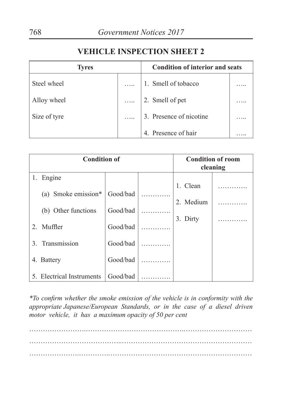#### **VEHICLE INSPECTION SHEET 2**

| <b>Tyres</b> | <b>Condition of interior and seats</b> |  |
|--------------|----------------------------------------|--|
| Steel wheel  | 1. Smell of tobacco                    |  |
| Alloy wheel  | $\ldots$   2. Smell of pet             |  |
| Size of tyre | $\ldots$   3. Presence of nicotine     |  |
|              | 4. Presence of hair                    |  |

| <b>Condition of</b> |                           |          |  | <b>Condition of room</b><br>cleaning |  |
|---------------------|---------------------------|----------|--|--------------------------------------|--|
| 1.                  | Engine                    |          |  |                                      |  |
|                     |                           |          |  | 1. Clean                             |  |
|                     | (a) Smoke emission*       | Good/bad |  |                                      |  |
|                     |                           |          |  | 2. Medium                            |  |
|                     | (b) Other functions       | Good/bad |  |                                      |  |
|                     | 2. Muffler                | Good/bad |  | 3. Dirty                             |  |
|                     |                           |          |  |                                      |  |
| $\mathcal{E}$       | Transmission              | Good/bad |  |                                      |  |
|                     | 4. Battery                | Good/bad |  |                                      |  |
|                     | 5. Electrical Instruments | Good/bad |  |                                      |  |

*\*To confirm whether the smoke emission of the vehicle is in conformity with the appropriate Japanese/European Standards, or in the case of a diesel driven motor vehicle, it has a maximum opacity of 50 per cent*

…………………………………..…………………………………………………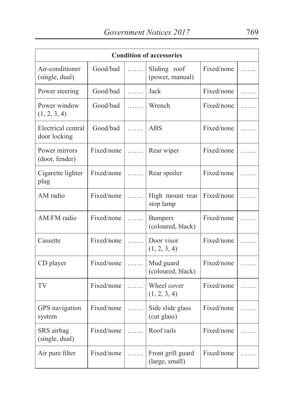| <b>Condition of accessories</b>    |            |   |                                     |            |   |
|------------------------------------|------------|---|-------------------------------------|------------|---|
| Air-conditioner<br>(single, dual)  | Good/bad   | . | Sliding roof<br>(power, manual)     | Fixed/none | . |
| Power steering                     | Good/bad   | . | Jack                                | Fixed/none | . |
| Power window<br>(1, 2, 3, 4)       | Good/bad   | . | Wrench                              | Fixed/none | . |
| Electrical central<br>door locking | Good/bad   | . | <b>ABS</b>                          | Fixed/none |   |
| Power mirrors<br>(door, fender)    | Fixed/none | . | Rear wiper                          | Fixed/none |   |
| Cigarette lighter<br>plug          | Fixed/none | . | Rear spoiler                        | Fixed/none |   |
| AM radio                           | Fixed/none | . | High mount rear<br>stop lamp        | Fixed/none |   |
| AM/FM radio                        | Fixed/none | . | <b>Bumpers</b><br>(coloured, black) | Fixed/none | . |
| Cassette                           | Fixed/none | . | Door visor<br>(1, 2, 3, 4)          | Fixed/none | . |
| CD player                          | Fixed/none | . | Mud guard<br>(coloured, black)      | Fixed/none |   |
| TV                                 | Fixed/none | . | Wheel cover<br>(1, 2, 3, 4)         | Fixed/none |   |
| GPS navigation<br>system           | Fixed/none | . | Side slide glass<br>(cut glass)     | Fixed/none | . |
| SRS airbag<br>(single, dual)       | Fixed/none | . | Roof rails                          | Fixed/none |   |
| Air pure filter                    | Fixed/none | . | Front grill guard<br>(large, small) | Fixed/none | . |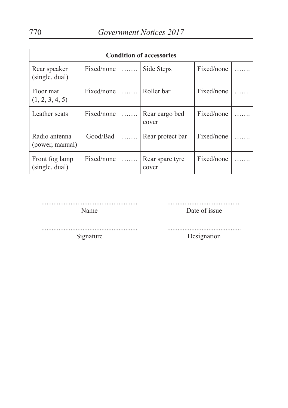| <b>Condition of accessories</b>  |                |                |                          |            |  |
|----------------------------------|----------------|----------------|--------------------------|------------|--|
| Rear speaker<br>(single, dual)   | Fixed/none $ $ |                | Side Steps               | Fixed/none |  |
| Floor mat<br>(1, 2, 3, 4, 5)     | Fixed/none     | <b>Service</b> | Roller bar               | Fixed/none |  |
| Leather seats                    | Fixed/none     | .              | Rear cargo bed<br>cover  | Fixed/none |  |
| Radio antenna<br>(power, manual) | Good/Bad       |                | Rear protect bar         | Fixed/none |  |
| Front fog lamp<br>(single, dual) | Fixed/none     | .              | Rear spare tyre<br>cover | Fixed/none |  |

........................................................ Name

........................................... Date of issue

........................................................ Signature

........................................... Designation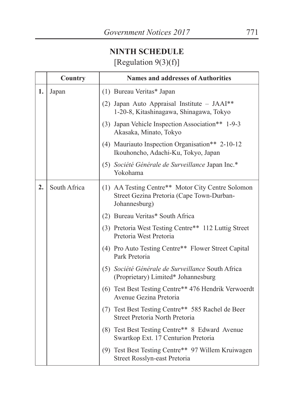# **NINTH SCHEDULE** [Regulation 9(3)(f)]

|    | Country      | <b>Names and addresses of Authorities</b>                                                                       |  |
|----|--------------|-----------------------------------------------------------------------------------------------------------------|--|
| 1. | Japan        | (1) Bureau Veritas* Japan                                                                                       |  |
|    |              | (2) Japan Auto Appraisal Institute - JAAI**<br>1-20-8, Kitashinagawa, Shinagawa, Tokyo                          |  |
|    |              | (3) Japan Vehicle Inspection Association** 1-9-3<br>Akasaka, Minato, Tokyo                                      |  |
|    |              | (4) Mauriauto Inspection Organisation** 2-10-12<br>Ikouhoncho, Adachi-Ku, Tokyo, Japan                          |  |
|    |              | (5) Société Générale de Surveillance Japan Inc.*<br>Yokohama                                                    |  |
| 2. | South Africa | (1) AA Testing Centre** Motor City Centre Solomon<br>Street Gezina Pretoria (Cape Town-Durban-<br>Johannesburg) |  |
|    |              | (2) Bureau Veritas* South Africa                                                                                |  |
|    |              | (3) Pretoria West Testing Centre** 112 Luttig Street<br>Pretoria West Pretoria                                  |  |
|    |              | (4) Pro Auto Testing Centre** Flower Street Capital<br>Park Pretoria                                            |  |
|    |              | (5) Société Générale de Surveillance South Africa<br>(Proprietary) Limited* Johannesburg                        |  |
|    |              | (6) Test Best Testing Centre** 476 Hendrik Verwoerdt<br>Avenue Gezina Pretoria                                  |  |
|    |              | (7) Test Best Testing Centre** 585 Rachel de Beer<br>Street Pretoria North Pretoria                             |  |
|    |              | (8) Test Best Testing Centre** 8 Edward Avenue<br>Swartkop Ext. 17 Centurion Pretoria                           |  |
|    |              | (9) Test Best Testing Centre** 97 Willem Kruiwagen<br>Street Rosslyn-east Pretoria                              |  |